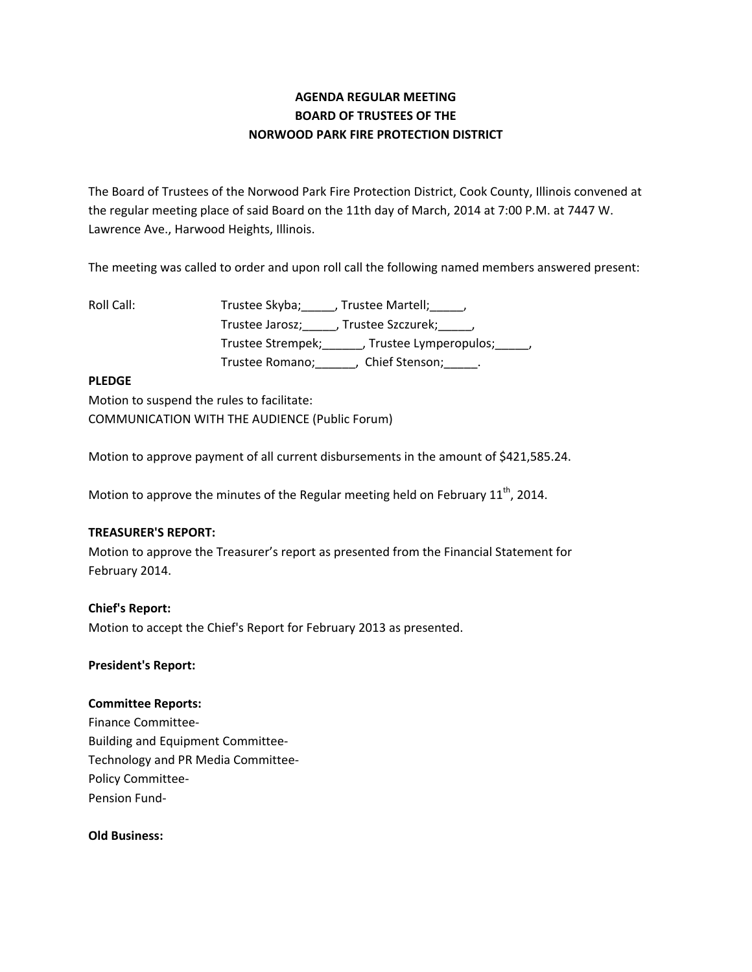# **AGENDA REGULAR MEETING BOARD OF TRUSTEES OF THE NORWOOD PARK FIRE PROTECTION DISTRICT**

The Board of Trustees of the Norwood Park Fire Protection District, Cook County, Illinois convened at the regular meeting place of said Board on the 11th day of March, 2014 at 7:00 P.M. at 7447 W. Lawrence Ave., Harwood Heights, Illinois.

The meeting was called to order and upon roll call the following named members answered present:

Roll Call: Trustee Skyba; \_\_\_\_, Trustee Martell; \_\_\_\_,

Trustee Jarosz;\_\_\_\_\_, Trustee Szczurek;\_\_\_\_\_, Trustee Strempek;\_\_\_\_\_\_, Trustee Lymperopulos;\_\_\_\_\_, Trustee Romano;\_\_\_\_\_\_, Chief Stenson;\_\_\_\_\_.

## **PLEDGE**

Motion to suspend the rules to facilitate: COMMUNICATION WITH THE AUDIENCE (Public Forum)

Motion to approve payment of all current disbursements in the amount of \$421,585.24.

Motion to approve the minutes of the Regular meeting held on February 11<sup>th</sup>, 2014.

## **TREASURER'S REPORT:**

Motion to approve the Treasurer's report as presented from the Financial Statement for February 2014.

## **Chief's Report:**

Motion to accept the Chief's Report for February 2013 as presented.

## **President's Report:**

## **Committee Reports:**

Finance Committee‐ Building and Equipment Committee‐ Technology and PR Media Committee‐ Policy Committee‐ Pension Fund‐

**Old Business:**